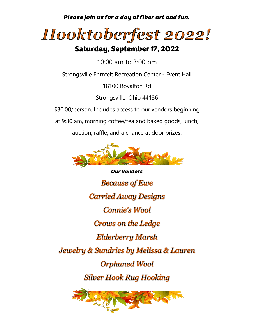*Please join us for a day of fiber art and fun.*



## Saturday, September 17, 2022

10:00 am to 3:00 pm

Strongsville Ehrnfelt Recreation Center - Event Hall

18100 Royalton Rd

Strongsville, Ohio 44136

\$30.00/person. Includes access to our vendors beginning

at 9:30 am, morning coffee/tea and baked goods, lunch,

auction, raffle, and a chance at door prizes.



*Our Vendors***Because of Ewe Carried Away Designs Connie's Wool** Crows on the Ledge **Elderberry Marsh** Jewelry & Sundries by Melissa & Lauren **Orphaned Wool Silver Hook Rug Hooking**